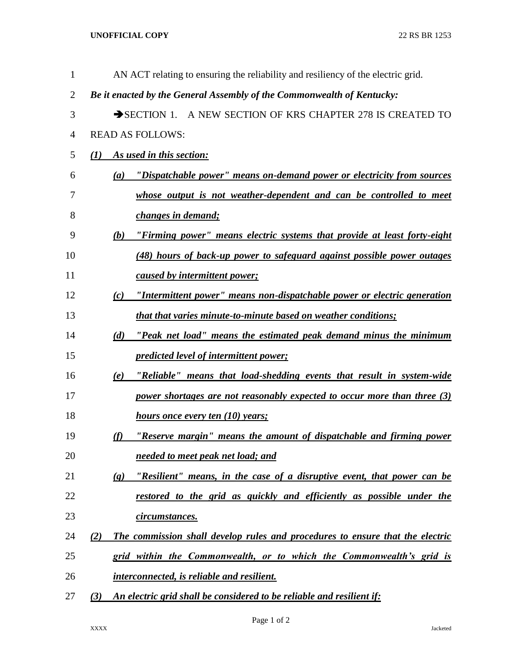**UNOFFICIAL COPY** 22 RS BR 1253

| $\mathbf{1}$   | AN ACT relating to ensuring the reliability and resiliency of the electric grid.                       |
|----------------|--------------------------------------------------------------------------------------------------------|
| $\overline{2}$ | Be it enacted by the General Assembly of the Commonwealth of Kentucky:                                 |
| 3              | SECTION 1. A NEW SECTION OF KRS CHAPTER 278 IS CREATED TO                                              |
| $\overline{4}$ | <b>READ AS FOLLOWS:</b>                                                                                |
| 5              | As used in this section:<br>$\mathcal{L}(I)$                                                           |
| 6              | "Dispatchable power" means on-demand power or electricity from sources<br>(a)                          |
| 7              | whose output is not weather-dependent and can be controlled to meet                                    |
| 8              | changes in demand;                                                                                     |
| 9              | "Firming power" means electric systems that provide at least forty-eight<br>(b)                        |
| 10             | (48) hours of back-up power to safeguard against possible power outages                                |
| 11             | caused by intermittent power;                                                                          |
| 12             | "Intermittent power" means non-dispatchable power or electric generation<br>(c)                        |
| 13             | <i>that that varies minute-to-minute based on weather conditions;</i>                                  |
| 14             | "Peak net load" means the estimated peak demand minus the minimum<br>(d)                               |
| 15             | predicted level of intermittent power;                                                                 |
| 16             | "Reliable" means that load-shedding events that result in system-wide<br>(e)                           |
| 17             | power shortages are not reasonably expected to occur more than three (3)                               |
| 18             | <u>hours once every ten (10) years;</u>                                                                |
| 19             | "Reserve margin" means the amount of dispatchable and firming power<br>(f)                             |
| 20             | needed to meet peak net load; and                                                                      |
| 21             | "Resilient" means, in the case of a disruptive event, that power can be<br>$\left( \mathbf{g} \right)$ |
| 22             | restored to the grid as quickly and efficiently as possible under the                                  |
| 23             | circumstances.                                                                                         |
| 24             | The commission shall develop rules and procedures to ensure that the electric<br>(2)                   |
| 25             | grid within the Commonwealth, or to which the Commonwealth's grid is                                   |
| 26             | <i>interconnected, is reliable and resilient.</i>                                                      |
| 27             | An electric grid shall be considered to be reliable and resilient if:<br>(3)                           |